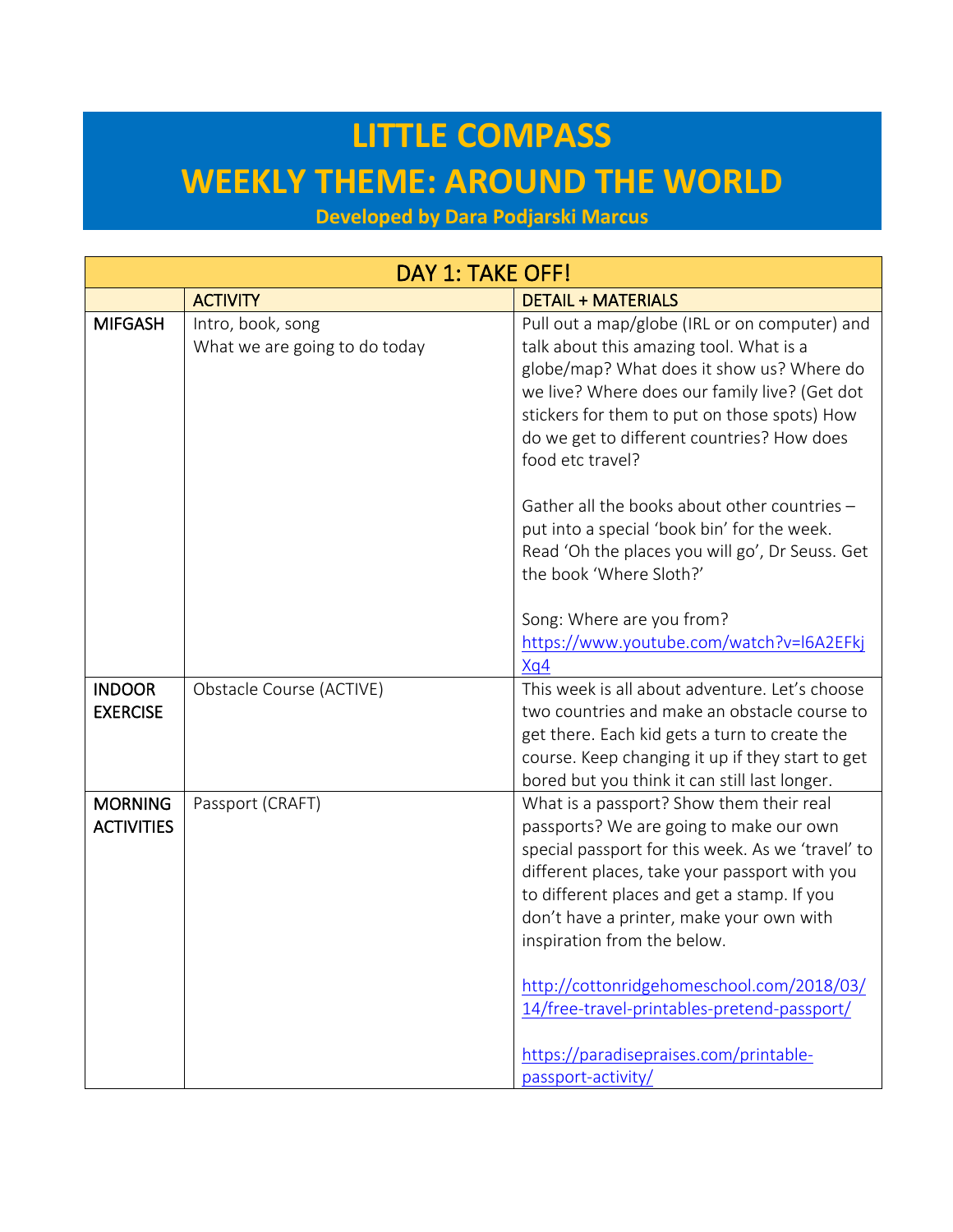## **LITTLE COMPASS WEEKLY THEME: AROUND THE WORLD**

**Developed by Dara Podjarski Marcus**

| DAY 1: TAKE OFF!                    |                                                    |                                                                                                                                                                                                                                                                                                                                                                                                                                                                                 |  |
|-------------------------------------|----------------------------------------------------|---------------------------------------------------------------------------------------------------------------------------------------------------------------------------------------------------------------------------------------------------------------------------------------------------------------------------------------------------------------------------------------------------------------------------------------------------------------------------------|--|
|                                     | <b>ACTIVITY</b>                                    | <b>DETAIL + MATERIALS</b>                                                                                                                                                                                                                                                                                                                                                                                                                                                       |  |
| <b>MIFGASH</b>                      | Intro, book, song<br>What we are going to do today | Pull out a map/globe (IRL or on computer) and<br>talk about this amazing tool. What is a<br>globe/map? What does it show us? Where do<br>we live? Where does our family live? (Get dot<br>stickers for them to put on those spots) How<br>do we get to different countries? How does<br>food etc travel?                                                                                                                                                                        |  |
|                                     |                                                    | Gather all the books about other countries -<br>put into a special 'book bin' for the week.<br>Read 'Oh the places you will go', Dr Seuss. Get<br>the book 'Where Sloth?'<br>Song: Where are you from?<br>https://www.youtube.com/watch?v=I6A2EFkj                                                                                                                                                                                                                              |  |
| <b>INDOOR</b><br><b>EXERCISE</b>    | Obstacle Course (ACTIVE)                           | Xq4<br>This week is all about adventure. Let's choose<br>two countries and make an obstacle course to<br>get there. Each kid gets a turn to create the<br>course. Keep changing it up if they start to get<br>bored but you think it can still last longer.                                                                                                                                                                                                                     |  |
| <b>MORNING</b><br><b>ACTIVITIES</b> | Passport (CRAFT)                                   | What is a passport? Show them their real<br>passports? We are going to make our own<br>special passport for this week. As we 'travel' to<br>different places, take your passport with you<br>to different places and get a stamp. If you<br>don't have a printer, make your own with<br>inspiration from the below.<br>http://cottonridgehomeschool.com/2018/03/<br>14/free-travel-printables-pretend-passport/<br>https://paradisepraises.com/printable-<br>passport-activity/ |  |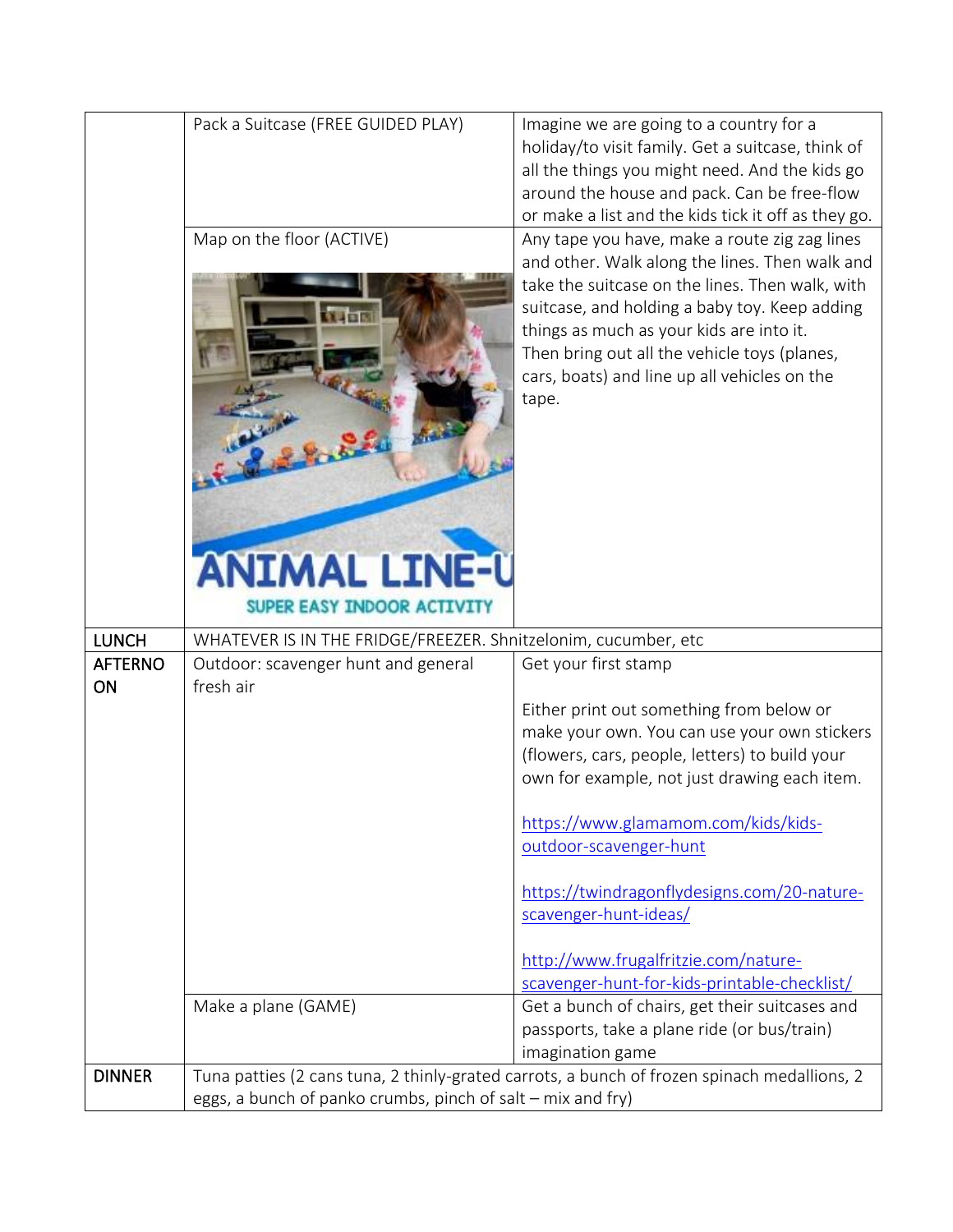|                      | Pack a Suitcase (FREE GUIDED PLAY)<br>Map on the floor (ACTIVE) | Imagine we are going to a country for a<br>holiday/to visit family. Get a suitcase, think of<br>all the things you might need. And the kids go<br>around the house and pack. Can be free-flow<br>or make a list and the kids tick it off as they go.<br>Any tape you have, make a route zig zag lines<br>and other. Walk along the lines. Then walk and<br>take the suitcase on the lines. Then walk, with<br>suitcase, and holding a baby toy. Keep adding<br>things as much as your kids are into it.<br>Then bring out all the vehicle toys (planes,<br>cars, boats) and line up all vehicles on the |
|----------------------|-----------------------------------------------------------------|---------------------------------------------------------------------------------------------------------------------------------------------------------------------------------------------------------------------------------------------------------------------------------------------------------------------------------------------------------------------------------------------------------------------------------------------------------------------------------------------------------------------------------------------------------------------------------------------------------|
|                      | <b>ANIMAL LINE-U</b><br>SUPER EASY INDOOR ACTIVITY              | tape.                                                                                                                                                                                                                                                                                                                                                                                                                                                                                                                                                                                                   |
| <b>LUNCH</b>         | WHATEVER IS IN THE FRIDGE/FREEZER. Shnitzelonim, cucumber, etc  |                                                                                                                                                                                                                                                                                                                                                                                                                                                                                                                                                                                                         |
| <b>AFTERNO</b><br>ON | Outdoor: scavenger hunt and general<br>fresh air                | Get your first stamp                                                                                                                                                                                                                                                                                                                                                                                                                                                                                                                                                                                    |
|                      |                                                                 | Either print out something from below or                                                                                                                                                                                                                                                                                                                                                                                                                                                                                                                                                                |
|                      |                                                                 |                                                                                                                                                                                                                                                                                                                                                                                                                                                                                                                                                                                                         |
|                      |                                                                 | make your own. You can use your own stickers                                                                                                                                                                                                                                                                                                                                                                                                                                                                                                                                                            |
|                      |                                                                 | (flowers, cars, people, letters) to build your                                                                                                                                                                                                                                                                                                                                                                                                                                                                                                                                                          |
|                      |                                                                 | own for example, not just drawing each item.                                                                                                                                                                                                                                                                                                                                                                                                                                                                                                                                                            |
|                      |                                                                 |                                                                                                                                                                                                                                                                                                                                                                                                                                                                                                                                                                                                         |
|                      |                                                                 | https://www.glamamom.com/kids/kids-<br>outdoor-scavenger-hunt                                                                                                                                                                                                                                                                                                                                                                                                                                                                                                                                           |
|                      |                                                                 |                                                                                                                                                                                                                                                                                                                                                                                                                                                                                                                                                                                                         |
|                      |                                                                 | https://twindragonflydesigns.com/20-nature-                                                                                                                                                                                                                                                                                                                                                                                                                                                                                                                                                             |
|                      |                                                                 | scavenger-hunt-ideas/                                                                                                                                                                                                                                                                                                                                                                                                                                                                                                                                                                                   |
|                      |                                                                 | http://www.frugalfritzie.com/nature-                                                                                                                                                                                                                                                                                                                                                                                                                                                                                                                                                                    |
|                      |                                                                 | scavenger-hunt-for-kids-printable-checklist/                                                                                                                                                                                                                                                                                                                                                                                                                                                                                                                                                            |
|                      | Make a plane (GAME)                                             | Get a bunch of chairs, get their suitcases and                                                                                                                                                                                                                                                                                                                                                                                                                                                                                                                                                          |
|                      |                                                                 | passports, take a plane ride (or bus/train)                                                                                                                                                                                                                                                                                                                                                                                                                                                                                                                                                             |
| <b>DINNER</b>        |                                                                 | imagination game<br>Tuna patties (2 cans tuna, 2 thinly-grated carrots, a bunch of frozen spinach medallions, 2                                                                                                                                                                                                                                                                                                                                                                                                                                                                                         |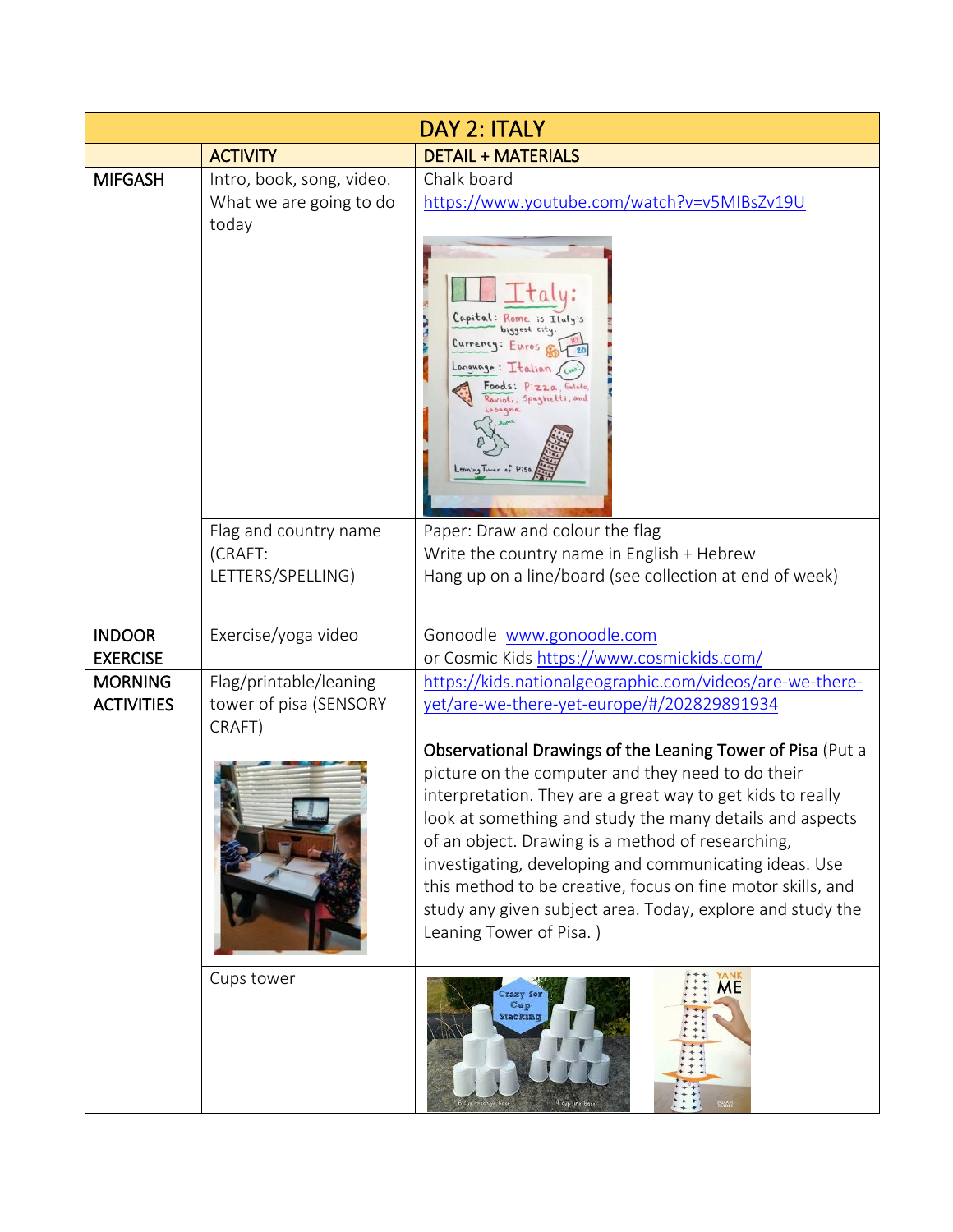|                                     |                                                               | DAY 2: ITALY                                                                                                                                                                                                                                                                                                                                                                                                                                                                                                     |
|-------------------------------------|---------------------------------------------------------------|------------------------------------------------------------------------------------------------------------------------------------------------------------------------------------------------------------------------------------------------------------------------------------------------------------------------------------------------------------------------------------------------------------------------------------------------------------------------------------------------------------------|
|                                     | <b>ACTIVITY</b>                                               | <b>DETAIL + MATERIALS</b>                                                                                                                                                                                                                                                                                                                                                                                                                                                                                        |
| <b>MIFGASH</b>                      | Intro, book, song, video.<br>What we are going to do<br>today | Chalk board<br>https://www.youtube.com/watch?v=v5MIBsZv19U                                                                                                                                                                                                                                                                                                                                                                                                                                                       |
|                                     |                                                               | Capital: Rome is Italy's<br>biggest city<br>Currency: Euros<br>Language: Italian<br>oods: Pizza, Gelato<br>Ravioli, Spaghetti, and<br>0.50.9na                                                                                                                                                                                                                                                                                                                                                                   |
|                                     | Flag and country name<br>(CRAFT:                              | Paper: Draw and colour the flag<br>Write the country name in English + Hebrew                                                                                                                                                                                                                                                                                                                                                                                                                                    |
|                                     | LETTERS/SPELLING)                                             | Hang up on a line/board (see collection at end of week)                                                                                                                                                                                                                                                                                                                                                                                                                                                          |
| <b>INDOOR</b><br><b>EXERCISE</b>    | Exercise/yoga video                                           | Gonoodle www.gonoodle.com<br>or Cosmic Kids https://www.cosmickids.com/                                                                                                                                                                                                                                                                                                                                                                                                                                          |
| <b>MORNING</b><br><b>ACTIVITIES</b> | Flag/printable/leaning<br>tower of pisa (SENSORY<br>CRAFT)    | https://kids.nationalgeographic.com/videos/are-we-there-<br>yet/are-we-there-yet-europe/#/202829891934                                                                                                                                                                                                                                                                                                                                                                                                           |
|                                     |                                                               | Observational Drawings of the Leaning Tower of Pisa (Put a<br>picture on the computer and they need to do their<br>interpretation. They are a great way to get kids to really<br>look at something and study the many details and aspects<br>of an object. Drawing is a method of researching,<br>investigating, developing and communicating ideas. Use<br>this method to be creative, focus on fine motor skills, and<br>study any given subject area. Today, explore and study the<br>Leaning Tower of Pisa.) |
|                                     | Cups tower                                                    | ME<br>Fazy for<br>Cup<br>Stacking<br>4 cup line base                                                                                                                                                                                                                                                                                                                                                                                                                                                             |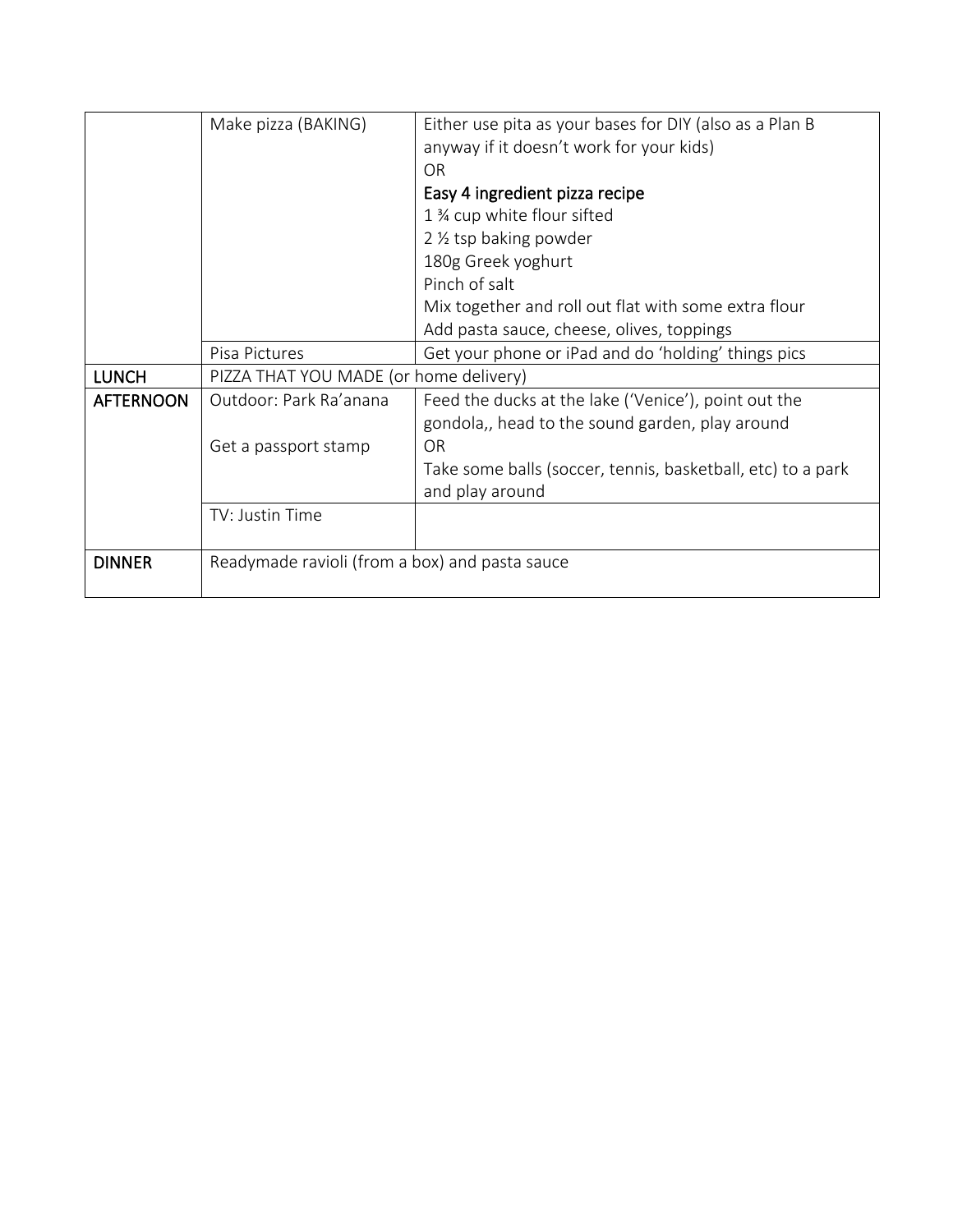|                  | Make pizza (BAKING)                            | Either use pita as your bases for DIY (also as a Plan B     |
|------------------|------------------------------------------------|-------------------------------------------------------------|
|                  |                                                | anyway if it doesn't work for your kids)                    |
|                  |                                                | <b>OR</b>                                                   |
|                  |                                                | Easy 4 ingredient pizza recipe                              |
|                  |                                                | 1 % cup white flour sifted                                  |
|                  |                                                | 2 1/2 tsp baking powder                                     |
|                  |                                                | 180g Greek yoghurt                                          |
|                  |                                                | Pinch of salt                                               |
|                  |                                                | Mix together and roll out flat with some extra flour        |
|                  |                                                | Add pasta sauce, cheese, olives, toppings                   |
|                  | Pisa Pictures                                  | Get your phone or iPad and do 'holding' things pics         |
| <b>LUNCH</b>     | PIZZA THAT YOU MADE (or home delivery)         |                                                             |
| <b>AFTERNOON</b> | Outdoor: Park Ra'anana                         | Feed the ducks at the lake ('Venice'), point out the        |
|                  |                                                | gondola,, head to the sound garden, play around             |
|                  | Get a passport stamp                           | OR                                                          |
|                  |                                                | Take some balls (soccer, tennis, basketball, etc) to a park |
|                  |                                                | and play around                                             |
|                  | TV: Justin Time                                |                                                             |
|                  |                                                |                                                             |
| <b>DINNER</b>    | Readymade ravioli (from a box) and pasta sauce |                                                             |
|                  |                                                |                                                             |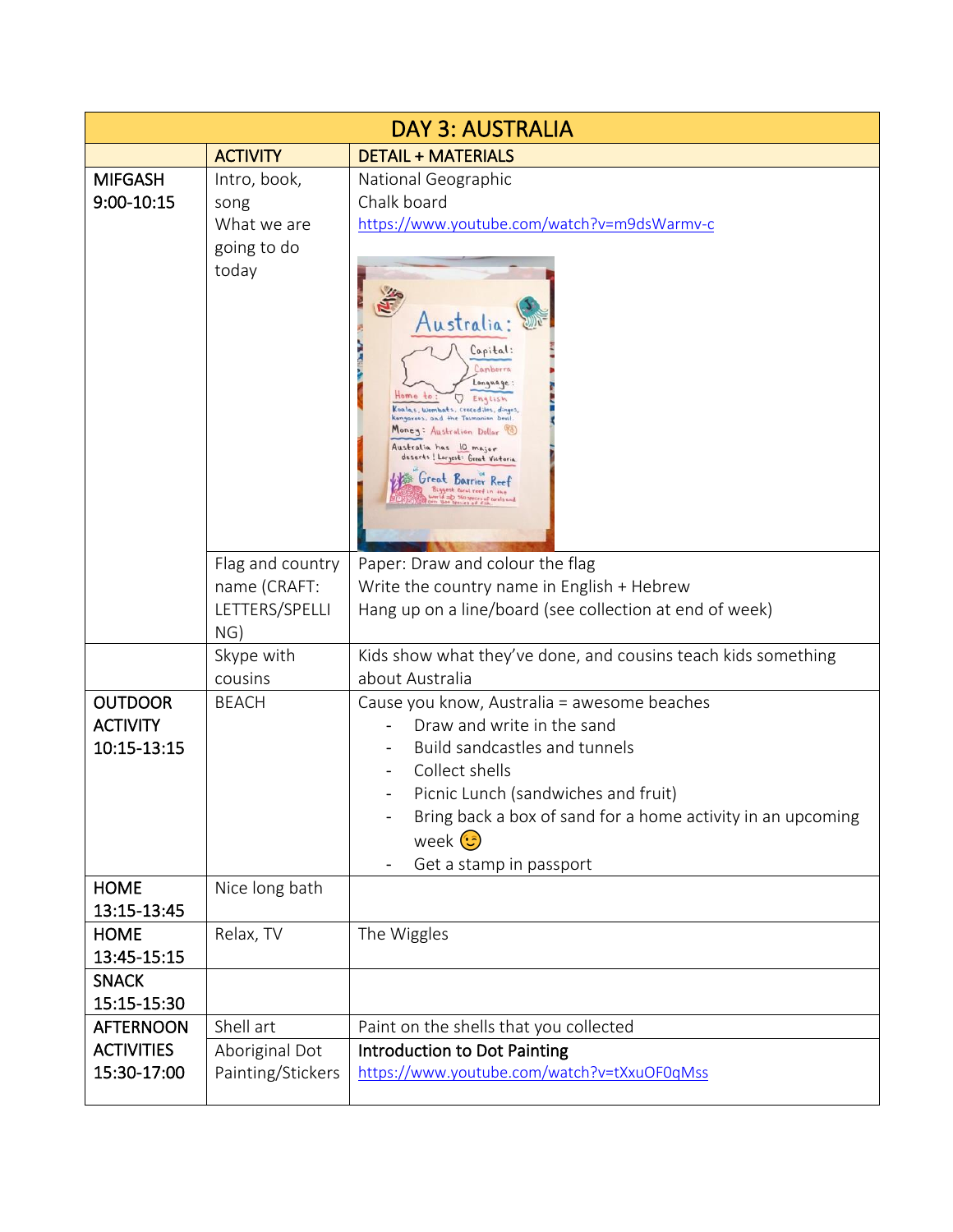| <b>DAY 3: AUSTRALIA</b>           |                                     |                                                                                                                                                                                                                                                                                                                                                          |  |
|-----------------------------------|-------------------------------------|----------------------------------------------------------------------------------------------------------------------------------------------------------------------------------------------------------------------------------------------------------------------------------------------------------------------------------------------------------|--|
|                                   | <b>ACTIVITY</b>                     | <b>DETAIL + MATERIALS</b>                                                                                                                                                                                                                                                                                                                                |  |
| <b>MIFGASH</b><br>9:00-10:15      | Intro, book,<br>song<br>What we are | National Geographic<br>Chalk board<br>https://www.youtube.com/watch?v=m9dsWarmv-c                                                                                                                                                                                                                                                                        |  |
|                                   | going to do<br>today                | Australia<br>Capital:<br>Canberra<br>Language:<br>English<br>Koalas, Wombats, Crocodiles, dingos,<br>kangaroos, and the Tasmanian Dovil.<br>Money: Australian Dollar<br>Australia has 10 major<br>deserts! Largest: Great Victoria<br>Great Barrier Reef<br>Biggest coral reef in the<br>forld =D 360 specifist corals and<br>for theo specifs of Ellin. |  |
|                                   | Flag and country                    | Paper: Draw and colour the flag                                                                                                                                                                                                                                                                                                                          |  |
|                                   | name (CRAFT:                        | Write the country name in English + Hebrew                                                                                                                                                                                                                                                                                                               |  |
|                                   | LETTERS/SPELLI<br>NG)               | Hang up on a line/board (see collection at end of week)                                                                                                                                                                                                                                                                                                  |  |
|                                   | Skype with<br>cousins               | Kids show what they've done, and cousins teach kids something<br>about Australia                                                                                                                                                                                                                                                                         |  |
| <b>OUTDOOR</b><br><b>ACTIVITY</b> | <b>BEACH</b>                        | Cause you know, Australia = awesome beaches<br>Draw and write in the sand                                                                                                                                                                                                                                                                                |  |
| 10:15-13:15                       |                                     | Build sandcastles and tunnels<br>Collect shells                                                                                                                                                                                                                                                                                                          |  |
|                                   |                                     | Picnic Lunch (sandwiches and fruit)<br>Bring back a box of sand for a home activity in an upcoming<br>week $\odot$<br>Get a stamp in passport                                                                                                                                                                                                            |  |
| <b>HOME</b><br>13:15-13:45        | Nice long bath                      |                                                                                                                                                                                                                                                                                                                                                          |  |
| <b>HOME</b><br>13:45-15:15        | Relax, TV                           | The Wiggles                                                                                                                                                                                                                                                                                                                                              |  |
| <b>SNACK</b><br>15:15-15:30       |                                     |                                                                                                                                                                                                                                                                                                                                                          |  |
| <b>AFTERNOON</b>                  | Shell art                           | Paint on the shells that you collected                                                                                                                                                                                                                                                                                                                   |  |
| <b>ACTIVITIES</b><br>15:30-17:00  | Aboriginal Dot<br>Painting/Stickers | Introduction to Dot Painting<br>https://www.youtube.com/watch?v=tXxuOF0qMss                                                                                                                                                                                                                                                                              |  |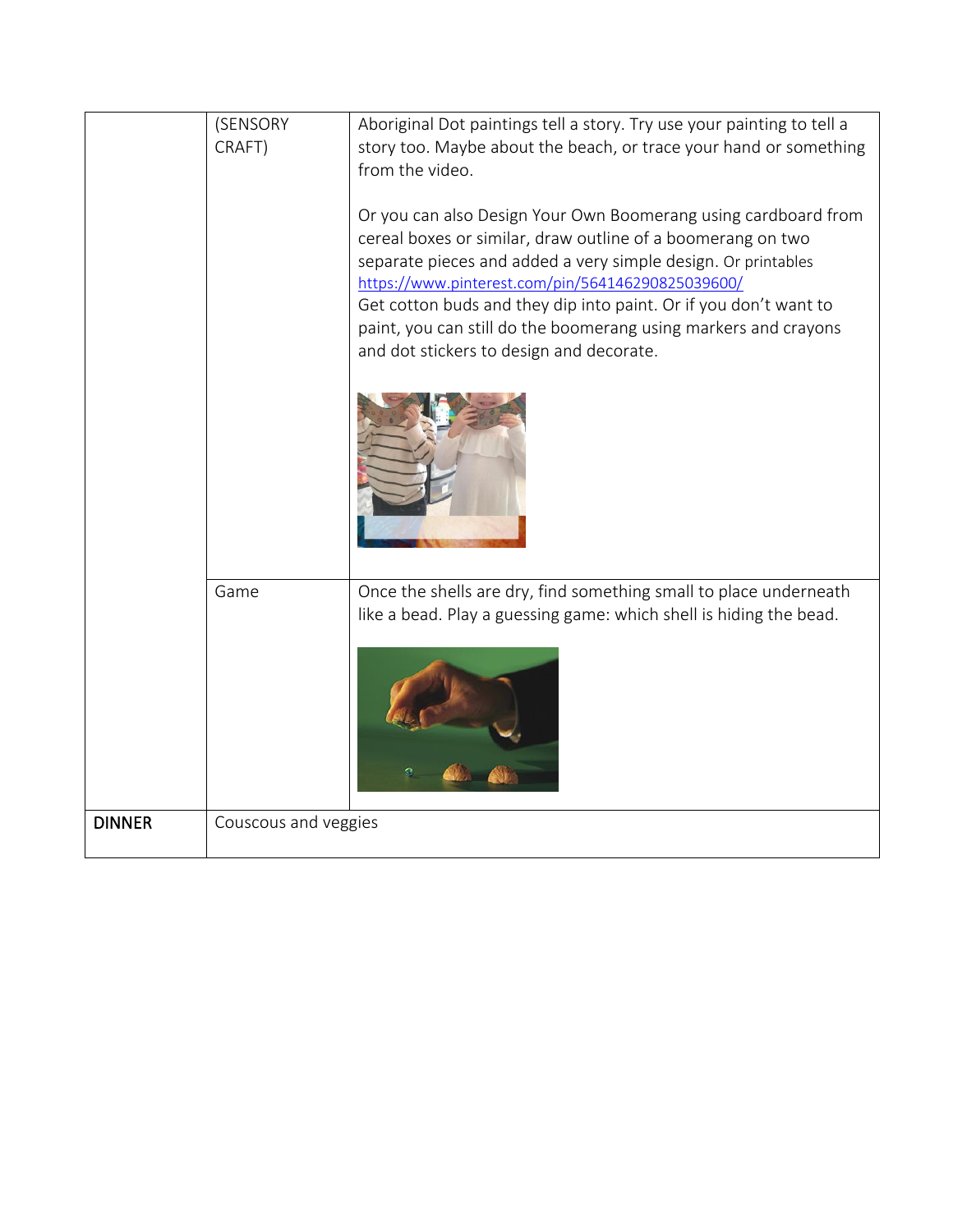|               | (SENSORY<br>CRAFT)           | Aboriginal Dot paintings tell a story. Try use your painting to tell a<br>story too. Maybe about the beach, or trace your hand or something<br>from the video.<br>Or you can also Design Your Own Boomerang using cardboard from<br>cereal boxes or similar, draw outline of a boomerang on two<br>separate pieces and added a very simple design. Or printables<br>https://www.pinterest.com/pin/564146290825039600/<br>Get cotton buds and they dip into paint. Or if you don't want to<br>paint, you can still do the boomerang using markers and crayons<br>and dot stickers to design and decorate. |
|---------------|------------------------------|----------------------------------------------------------------------------------------------------------------------------------------------------------------------------------------------------------------------------------------------------------------------------------------------------------------------------------------------------------------------------------------------------------------------------------------------------------------------------------------------------------------------------------------------------------------------------------------------------------|
| <b>DINNER</b> | Game<br>Couscous and veggies | Once the shells are dry, find something small to place underneath<br>like a bead. Play a guessing game: which shell is hiding the bead.                                                                                                                                                                                                                                                                                                                                                                                                                                                                  |
|               |                              |                                                                                                                                                                                                                                                                                                                                                                                                                                                                                                                                                                                                          |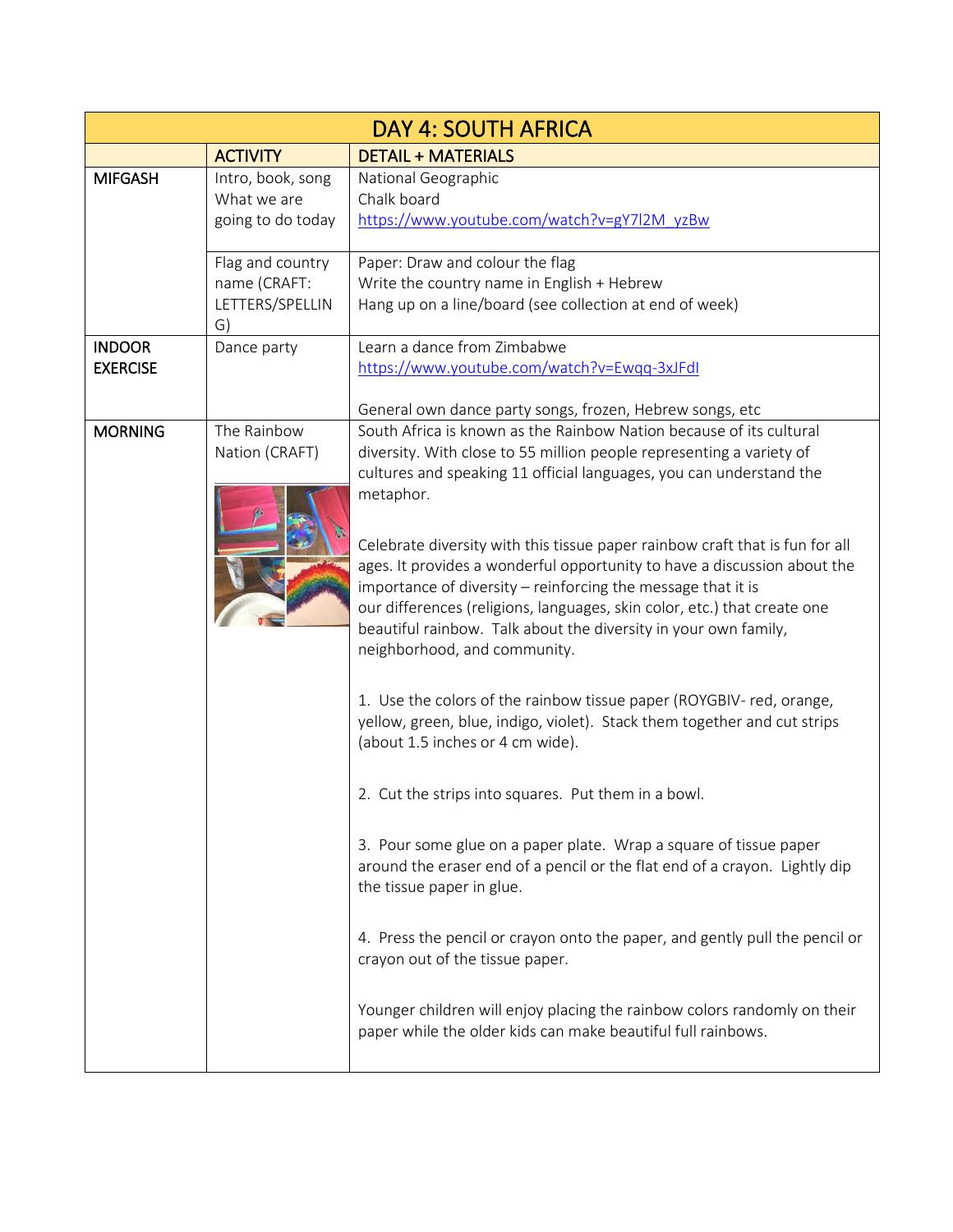| <b>DAY 4: SOUTH AFRICA</b>       |                                                           |                                                                                                                                                                                                                                                                                                                                                                                                         |  |
|----------------------------------|-----------------------------------------------------------|---------------------------------------------------------------------------------------------------------------------------------------------------------------------------------------------------------------------------------------------------------------------------------------------------------------------------------------------------------------------------------------------------------|--|
|                                  | <b>ACTIVITY</b>                                           | <b>DETAIL + MATERIALS</b>                                                                                                                                                                                                                                                                                                                                                                               |  |
| <b>MIFGASH</b>                   | Intro, book, song<br>What we are<br>going to do today     | National Geographic<br>Chalk board<br>https://www.youtube.com/watch?v=gY7l2M_yzBw                                                                                                                                                                                                                                                                                                                       |  |
|                                  | Flag and country<br>name (CRAFT:<br>LETTERS/SPELLIN<br>G) | Paper: Draw and colour the flag<br>Write the country name in English + Hebrew<br>Hang up on a line/board (see collection at end of week)                                                                                                                                                                                                                                                                |  |
| <b>INDOOR</b><br><b>EXERCISE</b> | Dance party                                               | Learn a dance from Zimbabwe<br>https://www.youtube.com/watch?v=Ewqq-3xJFdI<br>General own dance party songs, frozen, Hebrew songs, etc                                                                                                                                                                                                                                                                  |  |
| <b>MORNING</b>                   | The Rainbow<br>Nation (CRAFT)                             | South Africa is known as the Rainbow Nation because of its cultural<br>diversity. With close to 55 million people representing a variety of<br>cultures and speaking 11 official languages, you can understand the<br>metaphor.                                                                                                                                                                         |  |
|                                  |                                                           | Celebrate diversity with this tissue paper rainbow craft that is fun for all<br>ages. It provides a wonderful opportunity to have a discussion about the<br>importance of diversity - reinforcing the message that it is<br>our differences (religions, languages, skin color, etc.) that create one<br>beautiful rainbow. Talk about the diversity in your own family,<br>neighborhood, and community. |  |
|                                  |                                                           | 1. Use the colors of the rainbow tissue paper (ROYGBIV- red, orange,<br>yellow, green, blue, indigo, violet). Stack them together and cut strips<br>(about 1.5 inches or 4 cm wide).                                                                                                                                                                                                                    |  |
|                                  |                                                           | 2. Cut the strips into squares. Put them in a bowl.                                                                                                                                                                                                                                                                                                                                                     |  |
|                                  |                                                           | 3. Pour some glue on a paper plate. Wrap a square of tissue paper<br>around the eraser end of a pencil or the flat end of a crayon. Lightly dip<br>the tissue paper in glue.                                                                                                                                                                                                                            |  |
|                                  |                                                           | 4. Press the pencil or crayon onto the paper, and gently pull the pencil or<br>crayon out of the tissue paper.                                                                                                                                                                                                                                                                                          |  |
|                                  |                                                           | Younger children will enjoy placing the rainbow colors randomly on their<br>paper while the older kids can make beautiful full rainbows.                                                                                                                                                                                                                                                                |  |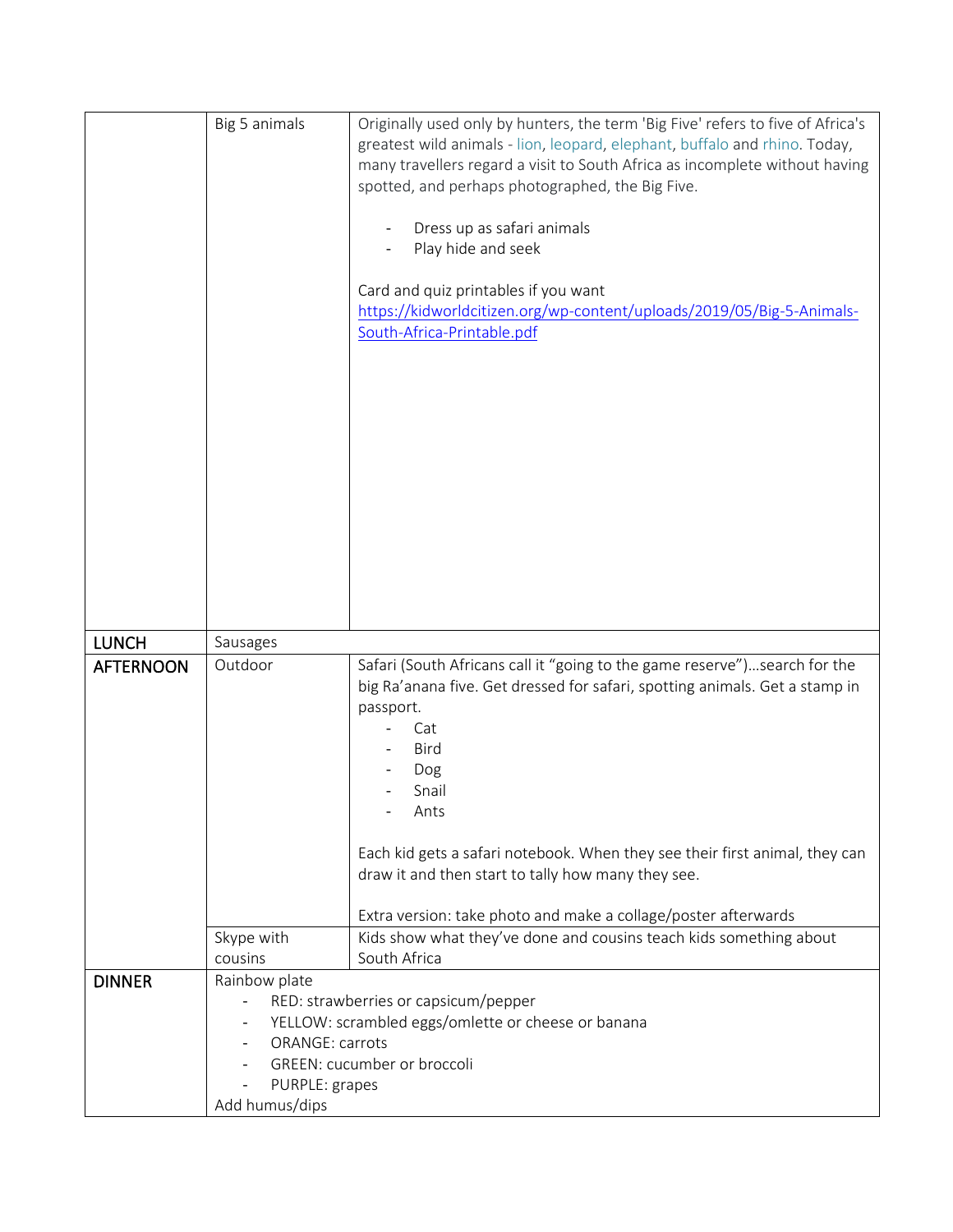|                  | Big 5 animals                    | Originally used only by hunters, the term 'Big Five' refers to five of Africa's |
|------------------|----------------------------------|---------------------------------------------------------------------------------|
|                  |                                  | greatest wild animals - lion, leopard, elephant, buffalo and rhino. Today,      |
|                  |                                  | many travellers regard a visit to South Africa as incomplete without having     |
|                  |                                  | spotted, and perhaps photographed, the Big Five.                                |
|                  |                                  |                                                                                 |
|                  |                                  | Dress up as safari animals                                                      |
|                  |                                  | Play hide and seek                                                              |
|                  |                                  | Card and quiz printables if you want                                            |
|                  |                                  | https://kidworldcitizen.org/wp-content/uploads/2019/05/Big-5-Animals-           |
|                  |                                  | South-Africa-Printable.pdf                                                      |
|                  |                                  |                                                                                 |
|                  |                                  |                                                                                 |
|                  |                                  |                                                                                 |
|                  |                                  |                                                                                 |
|                  |                                  |                                                                                 |
|                  |                                  |                                                                                 |
|                  |                                  |                                                                                 |
|                  |                                  |                                                                                 |
|                  |                                  |                                                                                 |
|                  |                                  |                                                                                 |
|                  |                                  |                                                                                 |
|                  |                                  |                                                                                 |
|                  |                                  |                                                                                 |
| <b>LUNCH</b>     | Sausages                         |                                                                                 |
| <b>AFTERNOON</b> | Outdoor                          | Safari (South Africans call it "going to the game reserve")search for the       |
|                  |                                  | big Ra'anana five. Get dressed for safari, spotting animals. Get a stamp in     |
|                  |                                  | passport.                                                                       |
|                  |                                  | Cat                                                                             |
|                  |                                  | Bird                                                                            |
|                  |                                  | Dog                                                                             |
|                  |                                  | Snail                                                                           |
|                  |                                  | Ants                                                                            |
|                  |                                  | Each kid gets a safari notebook. When they see their first animal, they can     |
|                  |                                  | draw it and then start to tally how many they see.                              |
|                  |                                  |                                                                                 |
|                  |                                  | Extra version: take photo and make a collage/poster afterwards                  |
|                  | Skype with                       | Kids show what they've done and cousins teach kids something about              |
|                  | cousins                          | South Africa                                                                    |
|                  |                                  |                                                                                 |
| <b>DINNER</b>    | Rainbow plate                    |                                                                                 |
|                  |                                  | RED: strawberries or capsicum/pepper                                            |
|                  |                                  | YELLOW: scrambled eggs/omlette or cheese or banana                              |
|                  | ORANGE: carrots                  |                                                                                 |
|                  |                                  | GREEN: cucumber or broccoli                                                     |
|                  | PURPLE: grapes<br>Add humus/dips |                                                                                 |